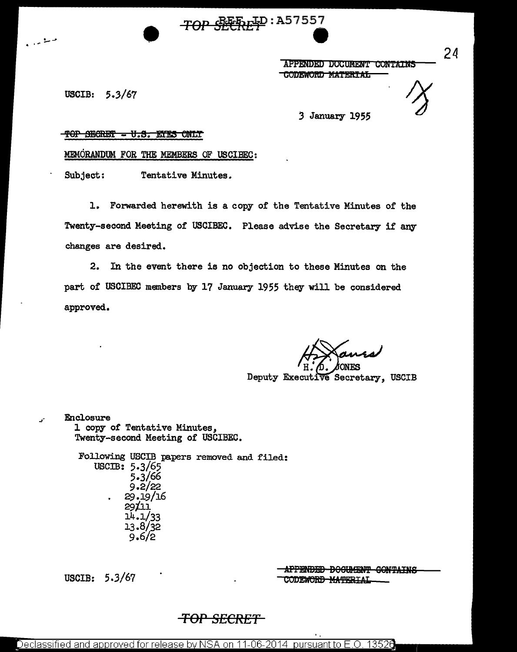TOP SEED : A57557

APPENDED DOCUMENT CONTAINS CODEWORD MATERIAL

24

USCIB:  $5.3/67$ 

مساين

3 January 1955

#### TOP SECRET - U.S. ETES ONLY

MEMORANDUM FOR THE MEMBERS OF USCIEEC:

Subject: Tentative Minutes.

1. Forwarded herewith is a copy of the Tentative Minutes of the Twenty-second Meeting of USCIBEC. Please advise the Secretary if any changes are desired.

2. In the event there is no objection to these Minutes on the part of USCIBEC members by 17 January 1955 they will be considered approved.

Deputy Executive Secretary, USCIB

Enclosure

1 copy of Tentative Minutes, Twenty-second Meeting of USCIBEC.

Following USCIB papers removed and filed: USCIB:  $5.3/65$  $5.3/66$  $9.2/22$  $29.19/16$  $29111$  $14.1/33$ <br> $13.8/32$  $9.6/2$ 

USCIB:  $5.3/67$ 

APPENDED DOCUMENT CONTAINS CODEWORD MATERIAL

# <del>TOP SECRET-</del>

Declassified and approved for release by NSA on 11-06-2014  $\,$  pursuant to E.O. 13526  $\,$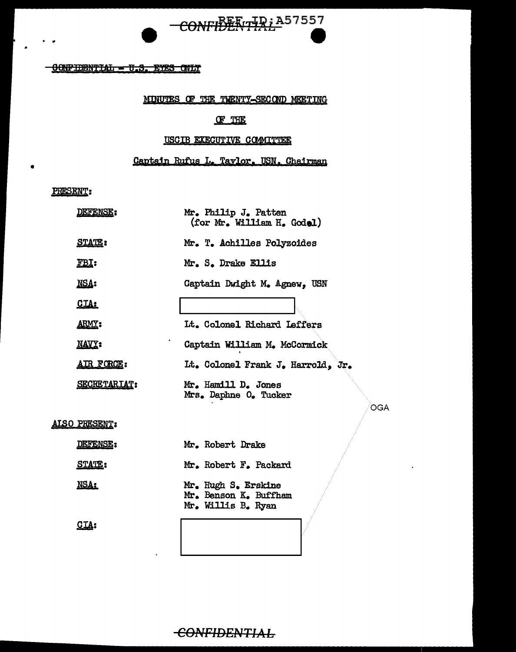

# **-GONFIDENTIAL - U.S. EYES ONLY**

## MINUTES OF THE TWENTY-SECOND MEETING

## **F THE**

#### USCIB EXECUTIVE COMMITTEE

Captain Rufus L. Taylor. USN. Chairman

 $\mathbf{r}$  and  $\mathbf{r}$ 

 $\sim$ 

### PRESENT:

 $\ddot{\phantom{0}}$ 

٠

| <b>DEFENSE:</b>     | Mr. Philip J. Patten<br>(for Mr. William H. Godel)                 |
|---------------------|--------------------------------------------------------------------|
| <b>STATE:</b>       | Mr. T. Achilles Polyzoides                                         |
| FBI:                | Mr. S. Drake Ellis                                                 |
| <u>NSA:</u>         | Captain Dwight M. Agnew, USN                                       |
| <b>CIA:</b>         |                                                                    |
| ARMY:               | Lt. Colonel Richard Leffers                                        |
| <b>NAVY:</b>        | Captain William M. McCormick                                       |
| <u>AIR FORCE:</u>   | Lt. Colonel Frank J. Harrold, Jr.                                  |
| <b>SECRETARIAT:</b> | Mr. Hamill D. Jones<br>Mrs. Daphne O. Tucker<br>OGA                |
| ALSO PRESENT:       |                                                                    |
| <b>DEFENSE:</b>     | Mr. Robert Drake                                                   |
| <b>STATE:</b>       | Mr. Robert F. Packard                                              |
| <u>NSA:</u>         | Mr. Hugh S. Erskine<br>Mr. Benson K. Buffham<br>Mr. Willis B. Ryan |
| <u>CIA:</u>         |                                                                    |

**CONFIDENTIAL**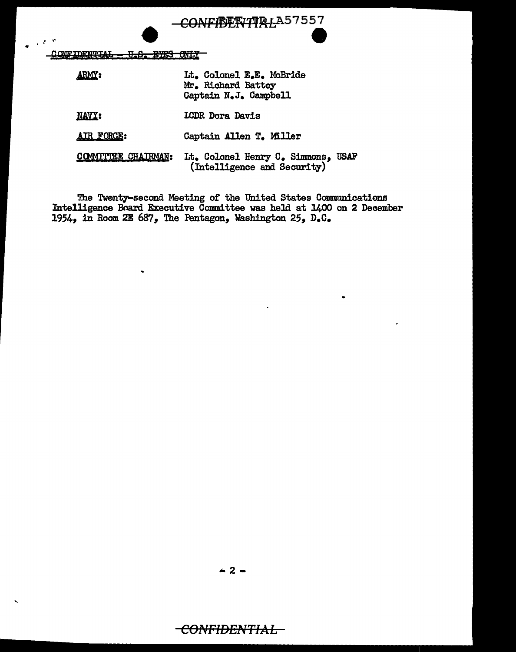CONFIBERTIALA57557

.. . . . . .

..

| ARMY:        | Lt. Colonel E.E. McBride<br>Mr. Richard Battey<br>Captain N.J. Campbell |
|--------------|-------------------------------------------------------------------------|
| <b>NAVY:</b> | LCDR Dora Davis                                                         |

AIR FORCE: Captain Allen T. Miller

COMMITTEE CHAIRMAN: Lt. Colonel Henry c. Simmons, USAF (Intelligence and Security)

The Twenty-second Meeting of the United States Comunications Intelligence Bnard Executive Committee was held at 1400 on 2 December 1954, in Room 2E *6et7,* The Pentagon, Washington 25, D.c •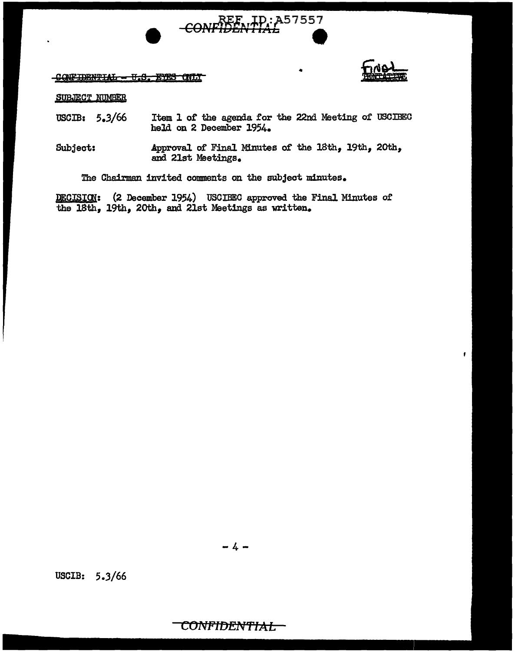



CONFIDENTIAL - U.S. EYES ONLY

#### SUBJECT NUMBER

- USCIB: *5.3/66*  Item 1 of the agenda for the 22nd Meeting of USCIBEC held on 2 December 1954.
- Subject: Approval of Final Minutes of the 18th, 19th, 20th, and 21st Meetings.

The Chairman invited comments on the subject minutes.

DECISION: (2 December 1954) USCIBEC approved the Final Minutes of the 18th, 19th, 20th, and 21st Meetings as written.

 $-4-$ 

USCIB: 5.3/66

# CONFIDENTIAL-